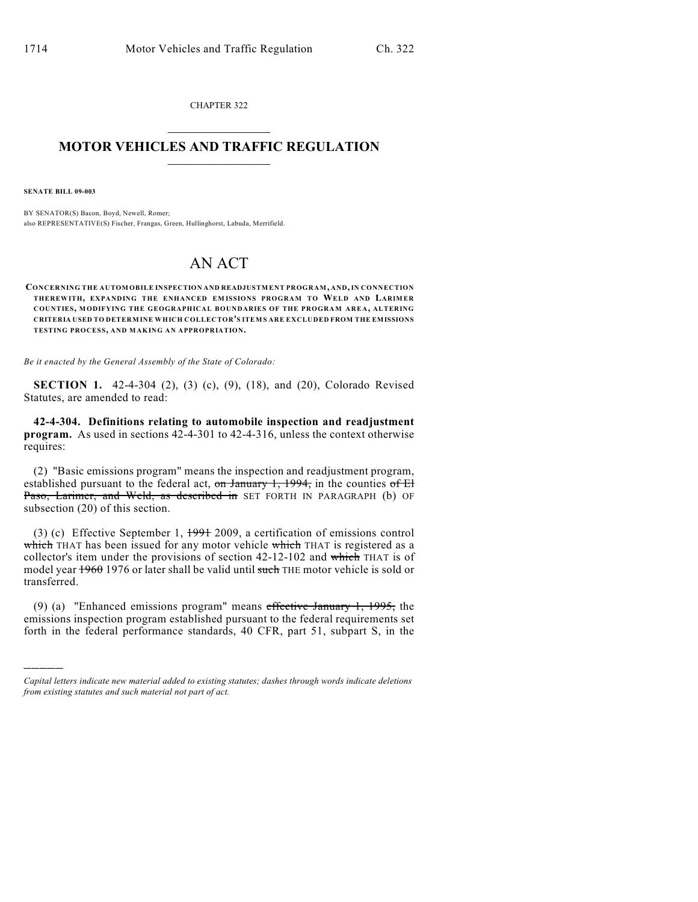CHAPTER 322  $\overline{\phantom{a}}$  . The set of the set of the set of the set of the set of the set of the set of the set of the set of the set of the set of the set of the set of the set of the set of the set of the set of the set of the set o

## **MOTOR VEHICLES AND TRAFFIC REGULATION**  $\frac{1}{2}$  ,  $\frac{1}{2}$  ,  $\frac{1}{2}$  ,  $\frac{1}{2}$  ,  $\frac{1}{2}$  ,  $\frac{1}{2}$  ,  $\frac{1}{2}$  ,  $\frac{1}{2}$

**SENATE BILL 09-003**

)))))

BY SENATOR(S) Bacon, Boyd, Newell, Romer; also REPRESENTATIVE(S) Fischer, Frangas, Green, Hullinghorst, Labuda, Merrifield.

## AN ACT

**CONCERNING THE AUTOM OBILE INSPECTION AND READJUSTMENT PROGRAM, AND, IN CONNECTION THEREWITH, EXPANDING THE ENHANCED EM ISSIONS PROGRAM TO WELD AND LARIMER COUNTIES, MODIFYING THE GEOGRAPHICAL BOUNDARIES OF THE PROGRAM AREA, ALTERING CRITERIA USED TO DETERMINE WHICH COLLECTOR'S ITEMS ARE EXCLUDED FROM THE EMISSIONS TESTING PROCESS, AND MAKING AN APPROPRIATION.**

*Be it enacted by the General Assembly of the State of Colorado:*

**SECTION 1.** 42-4-304 (2), (3) (c), (9), (18), and (20), Colorado Revised Statutes, are amended to read:

**42-4-304. Definitions relating to automobile inspection and readjustment program.** As used in sections 42-4-301 to 42-4-316, unless the context otherwise requires:

(2) "Basic emissions program" means the inspection and readjustment program, established pursuant to the federal act, on January 1, 1994, in the counties of  $E1$ Paso, Larimer, and Weld, as described in SET FORTH IN PARAGRAPH (b) OF subsection (20) of this section.

(3) (c) Effective September 1, 1991 2009, a certification of emissions control which THAT has been issued for any motor vehicle which THAT is registered as a collector's item under the provisions of section 42-12-102 and which THAT is of model year 1960 1976 or later shall be valid until such THE motor vehicle is sold or transferred.

(9) (a) "Enhanced emissions program" means effective January 1, 1995, the emissions inspection program established pursuant to the federal requirements set forth in the federal performance standards, 40 CFR, part 51, subpart S, in the

*Capital letters indicate new material added to existing statutes; dashes through words indicate deletions from existing statutes and such material not part of act.*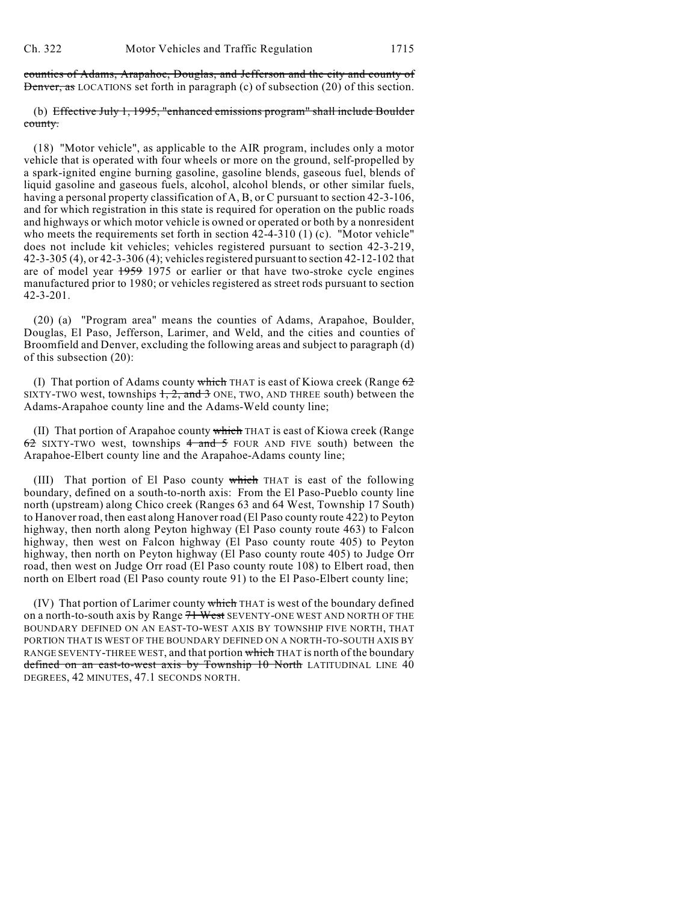counties of Adams, Arapahoe, Douglas, and Jefferson and the city and county of Denver, as LOCATIONS set forth in paragraph (c) of subsection (20) of this section.

(b) Effective July 1, 1995, "enhanced emissions program" shall include Boulder county.

(18) "Motor vehicle", as applicable to the AIR program, includes only a motor vehicle that is operated with four wheels or more on the ground, self-propelled by a spark-ignited engine burning gasoline, gasoline blends, gaseous fuel, blends of liquid gasoline and gaseous fuels, alcohol, alcohol blends, or other similar fuels, having a personal property classification of A, B, or C pursuant to section 42-3-106, and for which registration in this state is required for operation on the public roads and highways or which motor vehicle is owned or operated or both by a nonresident who meets the requirements set forth in section  $42-4-310$  (1) (c). "Motor vehicle" does not include kit vehicles; vehicles registered pursuant to section 42-3-219, 42-3-305 (4), or 42-3-306 (4); vehiclesregistered pursuant to section 42-12-102 that are of model year 1959 1975 or earlier or that have two-stroke cycle engines manufactured prior to 1980; or vehicles registered as street rods pursuant to section 42-3-201.

(20) (a) "Program area" means the counties of Adams, Arapahoe, Boulder, Douglas, El Paso, Jefferson, Larimer, and Weld, and the cities and counties of Broomfield and Denver, excluding the following areas and subject to paragraph (d) of this subsection (20):

(I) That portion of Adams county which THAT is east of Kiowa creek (Range  $62$ SIXTY-TWO west, townships  $1, 2,$  and  $3$  ONE, TWO, AND THREE south) between the Adams-Arapahoe county line and the Adams-Weld county line;

(II) That portion of Arapahoe county which THAT is east of Kiowa creek (Range  $62$  SIXTY-TWO west, townships  $4$  and  $5$  FOUR AND FIVE south) between the Arapahoe-Elbert county line and the Arapahoe-Adams county line;

(III) That portion of El Paso county which THAT is east of the following boundary, defined on a south-to-north axis: From the El Paso-Pueblo county line north (upstream) along Chico creek (Ranges 63 and 64 West, Township 17 South) to Hanover road, then east along Hanover road (El Paso county route 422) to Peyton highway, then north along Peyton highway (El Paso county route 463) to Falcon highway, then west on Falcon highway (El Paso county route 405) to Peyton highway, then north on Peyton highway (El Paso county route 405) to Judge Orr road, then west on Judge Orr road (El Paso county route 108) to Elbert road, then north on Elbert road (El Paso county route 91) to the El Paso-Elbert county line;

(IV) That portion of Larimer county which THAT is west of the boundary defined on a north-to-south axis by Range 71 West SEVENTY-ONE WEST AND NORTH OF THE BOUNDARY DEFINED ON AN EAST-TO-WEST AXIS BY TOWNSHIP FIVE NORTH, THAT PORTION THAT IS WEST OF THE BOUNDARY DEFINED ON A NORTH-TO-SOUTH AXIS BY RANGE SEVENTY-THREE WEST, and that portion which THAT is north of the boundary defined on an east-to-west axis by Township 10 North LATITUDINAL LINE 40 DEGREES, 42 MINUTES, 47.1 SECONDS NORTH.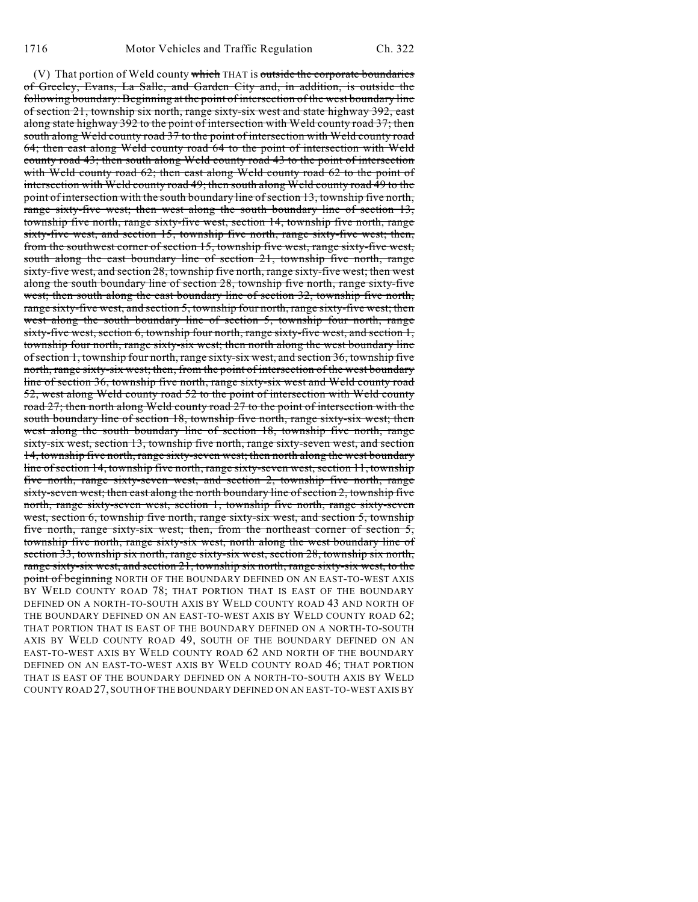(V) That portion of Weld county which THAT is outside the corporate boundaries of Greeley, Evans, La Salle, and Garden City and, in addition, is outside the following boundary: Beginning at the point of intersection of the west boundary line of section 21, township six north, range sixty-six west and state highway 392, east along state highway 392 to the point of intersection with Weld county road 37; then south along Weld county road 37 to the point of intersection with Weld county road 64; then east along Weld county road 64 to the point of intersection with Weld county road 43; then south along Weld county road 43 to the point of intersection with Weld county road 62; then east along Weld county road 62 to the point of intersection with Weld county road 49; then south along Weld county road 49 to the point of intersection with the south boundary line of section 13, township five north, range sixty-five west; then west along the south boundary line of section 13, township five north, range sixty-five west, section 14, township five north, range sixty-five west, and section 15, township five north, range sixty-five west; then, from the southwest corner of section 15, township five west, range sixty-five west, south along the east boundary line of section 21, township five north, range sixty-five west, and section 28, township five north, range sixty-five west; then west along the south boundary line of section 28, township five north, range sixty-five west; then south along the east boundary line of section 32, township five north, range sixty-five west, and section 5, township four north, range sixty-five west; then west along the south boundary line of section 5, township four north, range sixty-five west, section 6, township four north, range sixty-five west, and section 1, township four north, range sixty-six west; then north along the west boundary line of section 1, township four north, range sixty-six west, and section 36, township five north, range sixty-six west; then, from the point of intersection of the west boundary line of section 36, township five north, range sixty-six west and Weld county road 52, west along Weld county road 52 to the point of intersection with Weld county road 27; then north along Weld county road 27 to the point of intersection with the south boundary line of section 18, township five north, range sixty-six west; then west along the south boundary line of section 18, township five north, range sixty-six west, section 13, township five north, range sixty-seven west, and section 14, township five north, range sixty-seven west; then north along the west boundary line of section 14, township five north, range sixty-seven west, section 11, township five north, range sixty-seven west, and section 2, township five north, range sixty-seven west; then east along the north boundary line of section 2, township five north, range sixty-seven west, section 1, township five north, range sixty-seven west, section 6, township five north, range sixty-six west, and section 5, township five north, range sixty-six west; then, from the northeast corner of section 5, township five north, range sixty-six west, north along the west boundary line of section 33, township six north, range sixty-six west, section 28, township six north, range sixty-six west, and section 21, township six north, range sixty-six west, to the point of beginning NORTH OF THE BOUNDARY DEFINED ON AN EAST-TO-WEST AXIS BY WELD COUNTY ROAD 78; THAT PORTION THAT IS EAST OF THE BOUNDARY DEFINED ON A NORTH-TO-SOUTH AXIS BY WELD COUNTY ROAD 43 AND NORTH OF THE BOUNDARY DEFINED ON AN EAST-TO-WEST AXIS BY WELD COUNTY ROAD 62; THAT PORTION THAT IS EAST OF THE BOUNDARY DEFINED ON A NORTH-TO-SOUTH AXIS BY WELD COUNTY ROAD 49, SOUTH OF THE BOUNDARY DEFINED ON AN EAST-TO-WEST AXIS BY WELD COUNTY ROAD 62 AND NORTH OF THE BOUNDARY DEFINED ON AN EAST-TO-WEST AXIS BY WELD COUNTY ROAD 46; THAT PORTION THAT IS EAST OF THE BOUNDARY DEFINED ON A NORTH-TO-SOUTH AXIS BY WELD COUNTY ROAD 27, SOUTH OF THE BOUNDARY DEFINED ON AN EAST-TO-WEST AXIS BY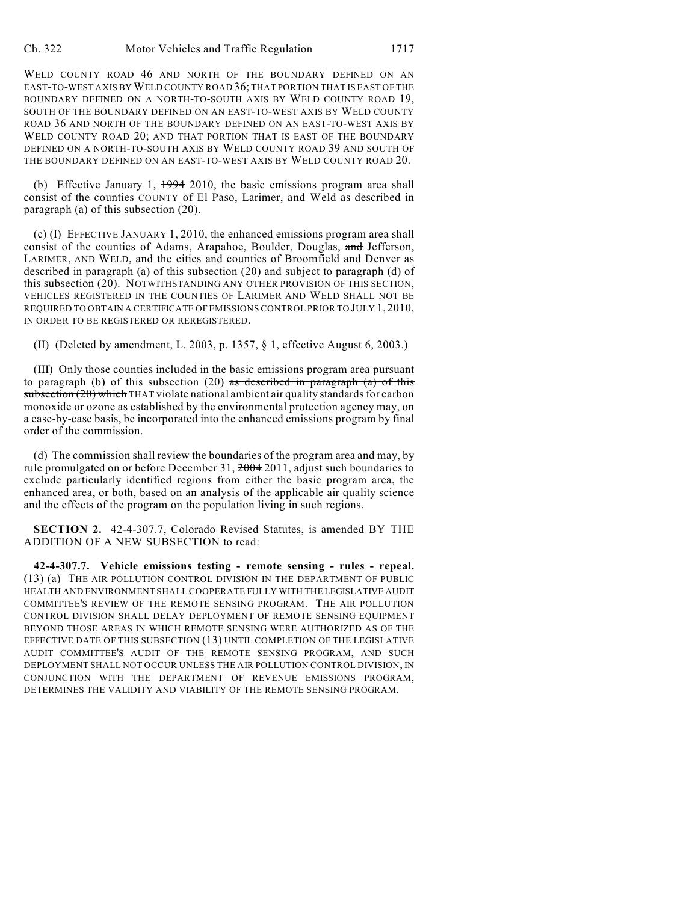WELD COUNTY ROAD 46 AND NORTH OF THE BOUNDARY DEFINED ON AN EAST-TO-WEST AXIS BY WELD COUNTY ROAD 36; THAT PORTION THAT IS EAST OF THE BOUNDARY DEFINED ON A NORTH-TO-SOUTH AXIS BY WELD COUNTY ROAD 19, SOUTH OF THE BOUNDARY DEFINED ON AN EAST-TO-WEST AXIS BY WELD COUNTY ROAD 36 AND NORTH OF THE BOUNDARY DEFINED ON AN EAST-TO-WEST AXIS BY WELD COUNTY ROAD 20: AND THAT PORTION THAT IS EAST OF THE BOUNDARY DEFINED ON A NORTH-TO-SOUTH AXIS BY WELD COUNTY ROAD 39 AND SOUTH OF THE BOUNDARY DEFINED ON AN EAST-TO-WEST AXIS BY WELD COUNTY ROAD 20.

(b) Effective January 1,  $1994$  2010, the basic emissions program area shall consist of the counties COUNTY of El Paso, Larimer, and Weld as described in paragraph (a) of this subsection (20).

(c) (I) EFFECTIVE JANUARY 1, 2010, the enhanced emissions program area shall consist of the counties of Adams, Arapahoe, Boulder, Douglas, and Jefferson, LARIMER, AND WELD, and the cities and counties of Broomfield and Denver as described in paragraph (a) of this subsection (20) and subject to paragraph (d) of this subsection (20). NOTWITHSTANDING ANY OTHER PROVISION OF THIS SECTION, VEHICLES REGISTERED IN THE COUNTIES OF LARIMER AND WELD SHALL NOT BE REQUIRED TO OBTAIN A CERTIFICATE OF EMISSIONS CONTROL PRIOR TO JULY 1, 2010, IN ORDER TO BE REGISTERED OR REREGISTERED.

(II) (Deleted by amendment, L. 2003, p. 1357, § 1, effective August 6, 2003.)

(III) Only those counties included in the basic emissions program area pursuant to paragraph (b) of this subsection (20) as described in paragraph (a) of this  $subsection (20)$  which THAT violate national ambient air quality standards for carbon monoxide or ozone as established by the environmental protection agency may, on a case-by-case basis, be incorporated into the enhanced emissions program by final order of the commission.

(d) The commission shall review the boundaries of the program area and may, by rule promulgated on or before December 31, 2004 2011, adjust such boundaries to exclude particularly identified regions from either the basic program area, the enhanced area, or both, based on an analysis of the applicable air quality science and the effects of the program on the population living in such regions.

**SECTION 2.** 42-4-307.7, Colorado Revised Statutes, is amended BY THE ADDITION OF A NEW SUBSECTION to read:

**42-4-307.7. Vehicle emissions testing - remote sensing - rules - repeal.** (13) (a) THE AIR POLLUTION CONTROL DIVISION IN THE DEPARTMENT OF PUBLIC HEALTH AND ENVIRONMENT SHALL COOPERATE FULLY WITH THE LEGISLATIVE AUDIT COMMITTEE'S REVIEW OF THE REMOTE SENSING PROGRAM. THE AIR POLLUTION CONTROL DIVISION SHALL DELAY DEPLOYMENT OF REMOTE SENSING EQUIPMENT BEYOND THOSE AREAS IN WHICH REMOTE SENSING WERE AUTHORIZED AS OF THE EFFECTIVE DATE OF THIS SUBSECTION (13) UNTIL COMPLETION OF THE LEGISLATIVE AUDIT COMMITTEE'S AUDIT OF THE REMOTE SENSING PROGRAM, AND SUCH DEPLOYMENT SHALL NOT OCCUR UNLESS THE AIR POLLUTION CONTROL DIVISION, IN CONJUNCTION WITH THE DEPARTMENT OF REVENUE EMISSIONS PROGRAM, DETERMINES THE VALIDITY AND VIABILITY OF THE REMOTE SENSING PROGRAM.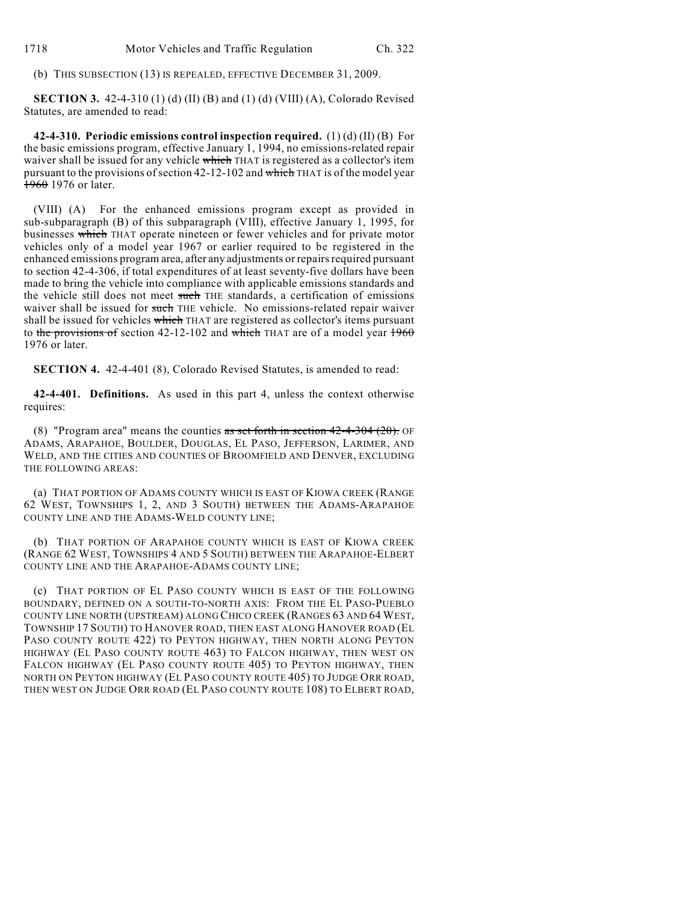(b) THIS SUBSECTION (13) IS REPEALED, EFFECTIVE DECEMBER 31, 2009.

**SECTION 3.** 42-4-310 (1) (d) (II) (B) and (1) (d) (VIII) (A), Colorado Revised Statutes, are amended to read:

**42-4-310. Periodic emissions control inspection required.** (1) (d) (II) (B) For the basic emissions program, effective January 1, 1994, no emissions-related repair waiver shall be issued for any vehicle which THAT is registered as a collector's item pursuant to the provisions of section  $42-12-102$  and which THAT is of the model year 1960 1976 or later.

(VIII) (A) For the enhanced emissions program except as provided in sub-subparagraph (B) of this subparagraph (VIII), effective January 1, 1995, for businesses which THAT operate nineteen or fewer vehicles and for private motor vehicles only of a model year 1967 or earlier required to be registered in the enhanced emissions program area, after any adjustments or repairs required pursuant to section 42-4-306, if total expenditures of at least seventy-five dollars have been made to bring the vehicle into compliance with applicable emissions standards and the vehicle still does not meet such THE standards, a certification of emissions waiver shall be issued for such THE vehicle. No emissions-related repair waiver shall be issued for vehicles which THAT are registered as collector's items pursuant to the provisions of section 42-12-102 and which THAT are of a model year  $1960$ 1976 or later.

**SECTION 4.** 42-4-401 (8), Colorado Revised Statutes, is amended to read:

**42-4-401. Definitions.** As used in this part 4, unless the context otherwise requires:

(8) "Program area" means the counties as set forth in section  $42-4-304$  (20). OF ADAMS, ARAPAHOE, BOULDER, DOUGLAS, EL PASO, JEFFERSON, LARIMER, AND WELD, AND THE CITIES AND COUNTIES OF BROOMFIELD AND DENVER, EXCLUDING THE FOLLOWING AREAS:

(a) THAT PORTION OF ADAMS COUNTY WHICH IS EAST OF KIOWA CREEK (RANGE 62 WEST, TOWNSHIPS 1, 2, AND 3 SOUTH) BETWEEN THE ADAMS-ARAPAHOE COUNTY LINE AND THE ADAMS-WELD COUNTY LINE;

(b) THAT PORTION OF ARAPAHOE COUNTY WHICH IS EAST OF KIOWA CREEK (RANGE 62 WEST, TOWNSHIPS 4 AND 5 SOUTH) BETWEEN THE ARAPAHOE-ELBERT COUNTY LINE AND THE ARAPAHOE-ADAMS COUNTY LINE;

(c) THAT PORTION OF EL PASO COUNTY WHICH IS EAST OF THE FOLLOWING BOUNDARY, DEFINED ON A SOUTH-TO-NORTH AXIS: FROM THE EL PASO-PUEBLO COUNTY LINE NORTH (UPSTREAM) ALONG CHICO CREEK (RANGES 63 AND 64 WEST, TOWNSHIP 17 SOUTH) TO HANOVER ROAD, THEN EAST ALONG HANOVER ROAD (EL PASO COUNTY ROUTE 422) TO PEYTON HIGHWAY, THEN NORTH ALONG PEYTON HIGHWAY (EL PASO COUNTY ROUTE 463) TO FALCON HIGHWAY, THEN WEST ON FALCON HIGHWAY (EL PASO COUNTY ROUTE 405) TO PEYTON HIGHWAY, THEN NORTH ON PEYTON HIGHWAY (EL PASO COUNTY ROUTE 405) TO JUDGE ORR ROAD, THEN WEST ON JUDGE ORR ROAD (EL PASO COUNTY ROUTE 108) TO ELBERT ROAD,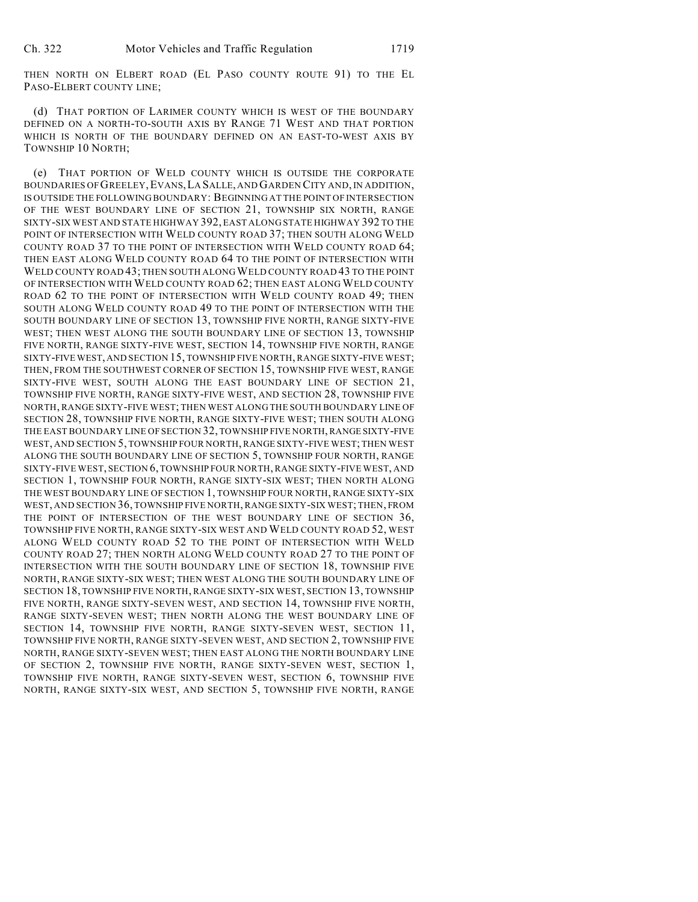THEN NORTH ON ELBERT ROAD (EL PASO COUNTY ROUTE 91) TO THE EL PASO-ELBERT COUNTY LINE;

(d) THAT PORTION OF LARIMER COUNTY WHICH IS WEST OF THE BOUNDARY DEFINED ON A NORTH-TO-SOUTH AXIS BY RANGE 71 WEST AND THAT PORTION WHICH IS NORTH OF THE BOUNDARY DEFINED ON AN EAST-TO-WEST AXIS BY TOWNSHIP 10 NORTH;

(e) THAT PORTION OF WELD COUNTY WHICH IS OUTSIDE THE CORPORATE BOUNDARIES OF GREELEY,EVANS,LA SALLE, AND GARDEN CITY AND, IN ADDITION, IS OUTSIDE THE FOLLOWING BOUNDARY: BEGINNING AT THE POINT OF INTERSECTION OF THE WEST BOUNDARY LINE OF SECTION 21, TOWNSHIP SIX NORTH, RANGE SIXTY-SIX WEST AND STATE HIGHWAY 392, EAST ALONG STATE HIGHWAY 392 TO THE POINT OF INTERSECTION WITH WELD COUNTY ROAD 37; THEN SOUTH ALONG WELD COUNTY ROAD 37 TO THE POINT OF INTERSECTION WITH WELD COUNTY ROAD 64; THEN EAST ALONG WELD COUNTY ROAD 64 TO THE POINT OF INTERSECTION WITH WELD COUNTY ROAD 43; THEN SOUTH ALONG WELD COUNTY ROAD 43 TO THE POINT OF INTERSECTION WITH WELD COUNTY ROAD 62; THEN EAST ALONG WELD COUNTY ROAD 62 TO THE POINT OF INTERSECTION WITH WELD COUNTY ROAD 49; THEN SOUTH ALONG WELD COUNTY ROAD 49 TO THE POINT OF INTERSECTION WITH THE SOUTH BOUNDARY LINE OF SECTION 13, TOWNSHIP FIVE NORTH, RANGE SIXTY-FIVE WEST; THEN WEST ALONG THE SOUTH BOUNDARY LINE OF SECTION 13, TOWNSHIP FIVE NORTH, RANGE SIXTY-FIVE WEST, SECTION 14, TOWNSHIP FIVE NORTH, RANGE SIXTY-FIVE WEST, AND SECTION 15, TOWNSHIP FIVE NORTH, RANGE SIXTY-FIVE WEST; THEN, FROM THE SOUTHWEST CORNER OF SECTION 15, TOWNSHIP FIVE WEST, RANGE SIXTY-FIVE WEST, SOUTH ALONG THE EAST BOUNDARY LINE OF SECTION 21, TOWNSHIP FIVE NORTH, RANGE SIXTY-FIVE WEST, AND SECTION 28, TOWNSHIP FIVE NORTH, RANGE SIXTY-FIVE WEST; THEN WEST ALONG THE SOUTH BOUNDARY LINE OF SECTION 28, TOWNSHIP FIVE NORTH, RANGE SIXTY-FIVE WEST; THEN SOUTH ALONG THE EAST BOUNDARY LINE OF SECTION 32, TOWNSHIP FIVE NORTH, RANGE SIXTY-FIVE WEST, AND SECTION 5, TOWNSHIP FOUR NORTH, RANGE SIXTY-FIVE WEST; THEN WEST ALONG THE SOUTH BOUNDARY LINE OF SECTION 5, TOWNSHIP FOUR NORTH, RANGE SIXTY-FIVE WEST, SECTION 6, TOWNSHIP FOUR NORTH, RANGE SIXTY-FIVE WEST, AND SECTION 1, TOWNSHIP FOUR NORTH, RANGE SIXTY-SIX WEST; THEN NORTH ALONG THE WEST BOUNDARY LINE OF SECTION 1, TOWNSHIP FOUR NORTH, RANGE SIXTY-SIX WEST, AND SECTION 36, TOWNSHIP FIVE NORTH, RANGE SIXTY-SIX WEST; THEN, FROM THE POINT OF INTERSECTION OF THE WEST BOUNDARY LINE OF SECTION 36, TOWNSHIP FIVE NORTH, RANGE SIXTY-SIX WEST AND WELD COUNTY ROAD 52, WEST ALONG WELD COUNTY ROAD 52 TO THE POINT OF INTERSECTION WITH WELD COUNTY ROAD 27; THEN NORTH ALONG WELD COUNTY ROAD 27 TO THE POINT OF INTERSECTION WITH THE SOUTH BOUNDARY LINE OF SECTION 18, TOWNSHIP FIVE NORTH, RANGE SIXTY-SIX WEST; THEN WEST ALONG THE SOUTH BOUNDARY LINE OF SECTION 18, TOWNSHIP FIVE NORTH, RANGE SIXTY-SIX WEST, SECTION 13, TOWNSHIP FIVE NORTH, RANGE SIXTY-SEVEN WEST, AND SECTION 14, TOWNSHIP FIVE NORTH, RANGE SIXTY-SEVEN WEST; THEN NORTH ALONG THE WEST BOUNDARY LINE OF SECTION 14, TOWNSHIP FIVE NORTH, RANGE SIXTY-SEVEN WEST, SECTION 11, TOWNSHIP FIVE NORTH, RANGE SIXTY-SEVEN WEST, AND SECTION 2, TOWNSHIP FIVE NORTH, RANGE SIXTY-SEVEN WEST; THEN EAST ALONG THE NORTH BOUNDARY LINE OF SECTION 2, TOWNSHIP FIVE NORTH, RANGE SIXTY-SEVEN WEST, SECTION 1, TOWNSHIP FIVE NORTH, RANGE SIXTY-SEVEN WEST, SECTION 6, TOWNSHIP FIVE NORTH, RANGE SIXTY-SIX WEST, AND SECTION 5, TOWNSHIP FIVE NORTH, RANGE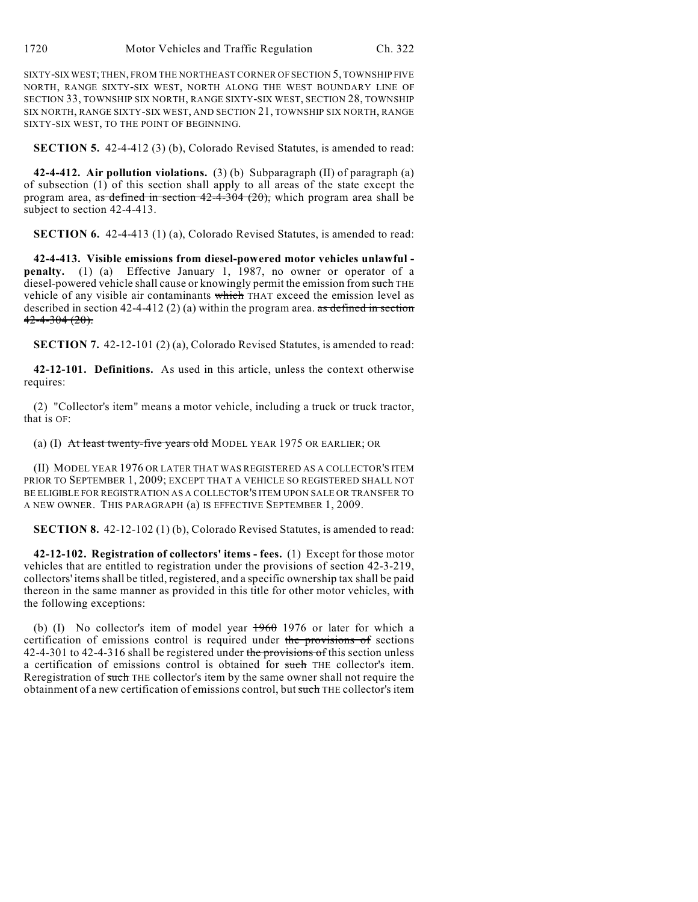SIXTY-SIX WEST; THEN, FROM THE NORTHEAST CORNER OF SECTION 5, TOWNSHIP FIVE NORTH, RANGE SIXTY-SIX WEST, NORTH ALONG THE WEST BOUNDARY LINE OF SECTION 33, TOWNSHIP SIX NORTH, RANGE SIXTY-SIX WEST, SECTION 28, TOWNSHIP SIX NORTH, RANGE SIXTY-SIX WEST, AND SECTION 21, TOWNSHIP SIX NORTH, RANGE SIXTY-SIX WEST, TO THE POINT OF BEGINNING.

**SECTION 5.** 42-4-412 (3) (b), Colorado Revised Statutes, is amended to read:

**42-4-412. Air pollution violations.** (3) (b) Subparagraph (II) of paragraph (a) of subsection (1) of this section shall apply to all areas of the state except the program area, as defined in section 42-4-304 (20), which program area shall be subject to section 42-4-413.

**SECTION 6.** 42-4-413 (1) (a), Colorado Revised Statutes, is amended to read:

**42-4-413. Visible emissions from diesel-powered motor vehicles unlawful penalty.** (1) (a) Effective January 1, 1987, no owner or operator of a diesel-powered vehicle shall cause or knowingly permit the emission from such THE vehicle of any visible air contaminants which THAT exceed the emission level as described in section 42-4-412 (2) (a) within the program area. as defined in section  $42 - 4 - 304 (20)$ .

**SECTION 7.** 42-12-101 (2) (a), Colorado Revised Statutes, is amended to read:

**42-12-101. Definitions.** As used in this article, unless the context otherwise requires:

(2) "Collector's item" means a motor vehicle, including a truck or truck tractor, that is OF:

(a) (I) At least twenty-five years old MODEL YEAR 1975 OR EARLIER; OR

(II) MODEL YEAR 1976 OR LATER THAT WAS REGISTERED AS A COLLECTOR'S ITEM PRIOR TO SEPTEMBER 1, 2009; EXCEPT THAT A VEHICLE SO REGISTERED SHALL NOT BE ELIGIBLE FOR REGISTRATION AS A COLLECTOR'S ITEM UPON SALE OR TRANSFER TO A NEW OWNER. THIS PARAGRAPH (a) IS EFFECTIVE SEPTEMBER 1, 2009.

**SECTION 8.** 42-12-102 (1) (b), Colorado Revised Statutes, is amended to read:

**42-12-102. Registration of collectors' items - fees.** (1) Except for those motor vehicles that are entitled to registration under the provisions of section 42-3-219, collectors' items shall be titled, registered, and a specific ownership tax shall be paid thereon in the same manner as provided in this title for other motor vehicles, with the following exceptions:

(b) (I) No collector's item of model year  $1960$  1976 or later for which a certification of emissions control is required under the provisions of sections 42-4-301 to 42-4-316 shall be registered under the provisions of this section unless a certification of emissions control is obtained for such THE collector's item. Reregistration of such THE collector's item by the same owner shall not require the obtainment of a new certification of emissions control, but such THE collector's item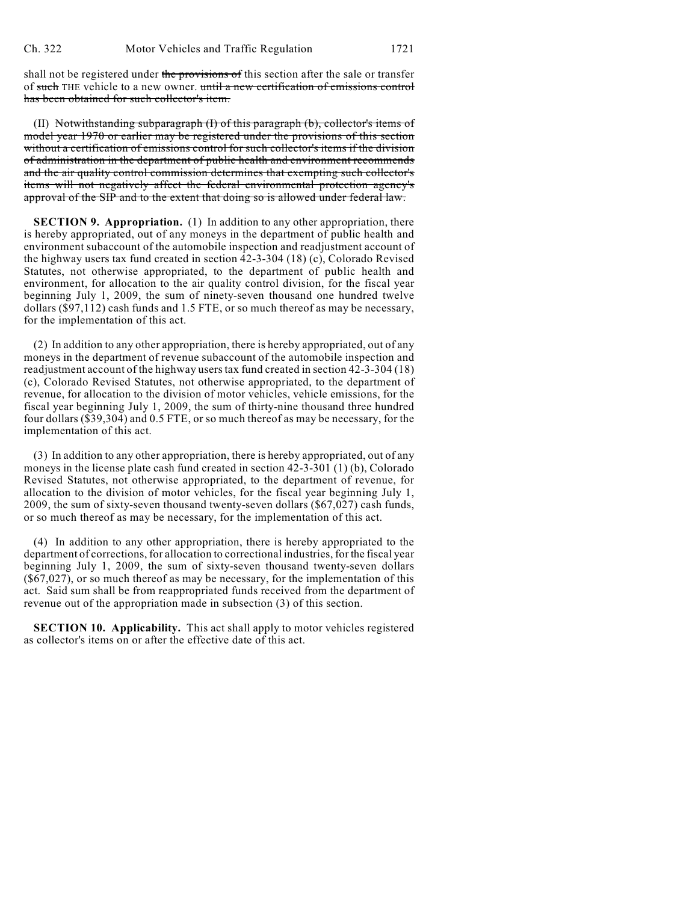shall not be registered under the provisions of this section after the sale or transfer of such THE vehicle to a new owner. until a new certification of emissions control has been obtained for such collector's item.

(II) Notwithstanding subparagraph (I) of this paragraph (b), collector's items of model year 1970 or earlier may be registered under the provisions of this section without a certification of emissions control for such collector's items if the division of administration in the department of public health and environment recommends and the air quality control commission determines that exempting such collector's items will not negatively affect the federal environmental protection agency's approval of the SIP and to the extent that doing so is allowed under federal law.

**SECTION 9. Appropriation.** (1) In addition to any other appropriation, there is hereby appropriated, out of any moneys in the department of public health and environment subaccount of the automobile inspection and readjustment account of the highway users tax fund created in section 42-3-304 (18) (c), Colorado Revised Statutes, not otherwise appropriated, to the department of public health and environment, for allocation to the air quality control division, for the fiscal year beginning July 1, 2009, the sum of ninety-seven thousand one hundred twelve dollars (\$97,112) cash funds and 1.5 FTE, or so much thereof as may be necessary, for the implementation of this act.

(2) In addition to any other appropriation, there is hereby appropriated, out of any moneys in the department of revenue subaccount of the automobile inspection and readjustment account of the highway users tax fund created in section 42-3-304 (18) (c), Colorado Revised Statutes, not otherwise appropriated, to the department of revenue, for allocation to the division of motor vehicles, vehicle emissions, for the fiscal year beginning July 1, 2009, the sum of thirty-nine thousand three hundred four dollars (\$39,304) and 0.5 FTE, or so much thereof as may be necessary, for the implementation of this act.

(3) In addition to any other appropriation, there is hereby appropriated, out of any moneys in the license plate cash fund created in section 42-3-301 (1) (b), Colorado Revised Statutes, not otherwise appropriated, to the department of revenue, for allocation to the division of motor vehicles, for the fiscal year beginning July 1, 2009, the sum of sixty-seven thousand twenty-seven dollars (\$67,027) cash funds, or so much thereof as may be necessary, for the implementation of this act.

(4) In addition to any other appropriation, there is hereby appropriated to the department of corrections, for allocation to correctional industries, for the fiscal year beginning July 1, 2009, the sum of sixty-seven thousand twenty-seven dollars  $(\$67,027)$ , or so much thereof as may be necessary, for the implementation of this act. Said sum shall be from reappropriated funds received from the department of revenue out of the appropriation made in subsection (3) of this section.

**SECTION 10. Applicability.** This act shall apply to motor vehicles registered as collector's items on or after the effective date of this act.